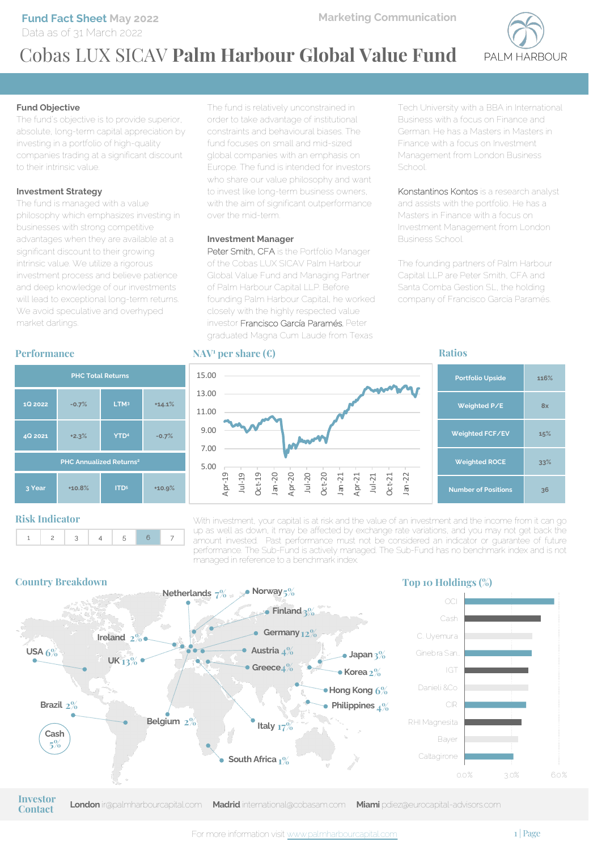**Fund Fact Sheet May 2022** Data as of 31 March 2022



# Cobas LUX SICAV **Palm Harbour Global Value Fund**

#### **Fund Objective**

The fund's objective is to provide superior, absolute, long-term capital appreciation by investing in a portfolio of high-quality companies trading at a significant discount to their intrinsic value.

#### **Investment Strategy**

The fund is managed with a value philosophy which emphasizes investing in businesses with strong competitive advantages when they are available at a significant discount to their growing intrinsic value. We utilize a rigorous investment process and believe patience and deep knowledge of our investments will lead to exceptional long-term returns. We avoid speculative and overhyped market darlings.

#### **Performance**



#### **Risk Indicator**



The fund is relatively unconstrained in order to take advantage of institutional constraints and behavioural biases. The fund focuses on small and mid-sized global companies with an emphasis on Europe. The fund is intended for investors who share our value philosophy and want to invest like long-term business owners, with the aim of significant outperformance over the mid-term.

#### **Investment Manager**

Peter Smith, CFA is the Portfolio Manager of the Cobas LUX SICAV Palm Harbour Global Value Fund and Managing Partner of Palm Harbour Capital LLP. Before founding Palm Harbour Capital, he worked closely with the highly respected value investor Francisco García Paramés. Peter graduated Magna Cum Laude from Texas

#### **NAV1 per share (€)**

5.00 7.00 9.00 11.00 13.00 15.00

> Apr-19 Jul-19 Oct-19 Jan -20 Apr-20 Jul-20 Oct-20 Jan -21 Apr-21 Jul-21 Oct-21 Jan -22

Tech University with a BBA in International Business with a focus on Finance and German. He has a Masters in Masters in Finance with a focus on Investment Management from London Business School.

Konstantinos Kontos is a research analyst and assists with the portfolio. He has a Masters in Finance with a focus on Investment Management from London Business School.

The founding partners of Palm Harbour Capital LLP are Peter Smith, CFA and Santa Comba Gestion SL, the holding company of Francisco García Paramés.

#### **Ratios**

| <b>Portfolio Upside</b>    | 116% |
|----------------------------|------|
| Weighted P/E               | 8x   |
| Weighted FCF/EV            | 15%  |
| <b>Weighted ROCE</b>       | 33%  |
| <b>Number of Positions</b> | 36   |

With investment, your capital is at risk and the value of an investment and the income from it can go up as well as down, it may be affected by exchange rate variations, and you may not get back the amount invested. Past performance must not be considered an indicator or guarantee of future performance. The Sub-Fund is actively managed. The Sub-Fund has no benchmark index and is not managed in reference to a benchmark index.



**Contact**

**London** ir@palmharbourcapital.com **Madrid** international@cobasam.com **Miami** pdiez@eurocapital-advisors.com **Investor**